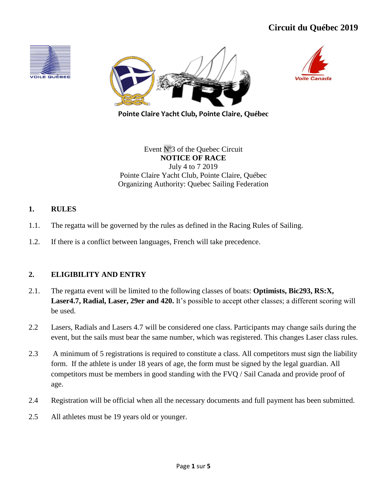





**Pointe Claire Yacht Club, Pointe Claire, Québec**

Event Nº3 of the Quebec Circuit **NOTICE OF RACE** July 4 to 7 2019 Pointe Claire Yacht Club, Pointe Claire, Québec Organizing Authority: Quebec Sailing Federation

## **1. RULES**

- 1.1. The regatta will be governed by the rules as defined in the Racing Rules of Sailing.
- 1.2. If there is a conflict between languages, French will take precedence.

# **2. ELIGIBILITY AND ENTRY**

- 2.1. The regatta event will be limited to the following classes of boats: **Optimists, Bic293, RS:X, Laser4.7, Radial, Laser, 29er and 420.** It's possible to accept other classes; a different scoring will be used.
- 2.2 Lasers, Radials and Lasers 4.7 will be considered one class. Participants may change sails during the event, but the sails must bear the same number, which was registered. This changes Laser class rules.
- 2.3 A minimum of 5 registrations is required to constitute a class. All competitors must sign the liability form. If the athlete is under 18 years of age, the form must be signed by the legal guardian. All competitors must be members in good standing with the FVQ / Sail Canada and provide proof of age.
- 2.4 Registration will be official when all the necessary documents and full payment has been submitted.
- 2.5 All athletes must be 19 years old or younger.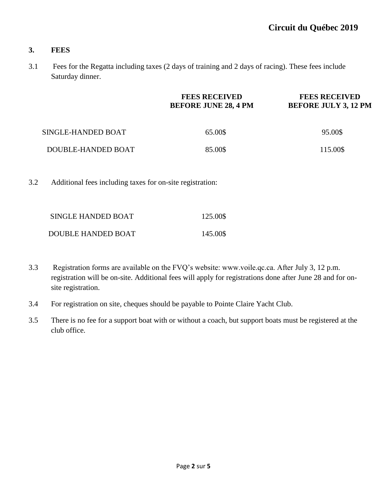### **3. FEES**

3.1 Fees for the Regatta including taxes (2 days of training and 2 days of racing). These fees include Saturday dinner.

|                    | <b>FEES RECEIVED</b><br><b>BEFORE JUNE 28, 4 PM</b> | <b>FEES RECEIVED</b><br><b>BEFORE JULY 3, 12 PM</b> |  |
|--------------------|-----------------------------------------------------|-----------------------------------------------------|--|
| SINGLE-HANDED BOAT | 65.00\$                                             | 95.00\$                                             |  |
| DOUBLE-HANDED BOAT | 85.00\$                                             | 115.00\$                                            |  |

3.2 Additional fees including taxes for on-site registration:

| SINGLE HANDED BOAT | 125.00\$ |
|--------------------|----------|
| DOUBLE HANDED BOAT | 145.00\$ |

- 3.3 Registration forms are available on the FVQ's website: www.voile.qc.ca. After July 3, 12 p.m. registration will be on-site. Additional fees will apply for registrations done after June 28 and for onsite registration.
- 3.4 For registration on site, cheques should be payable to Pointe Claire Yacht Club.
- 3.5 There is no fee for a support boat with or without a coach, but support boats must be registered at the club office.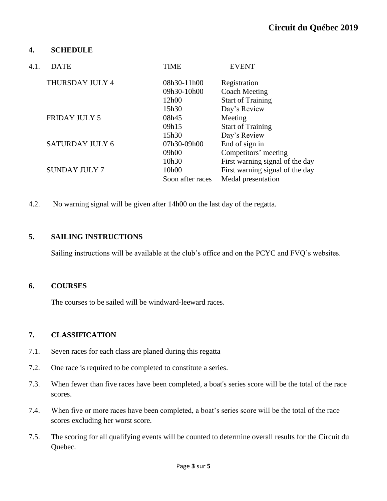### **4. SCHEDULE**

| 4.1. | <b>DATE</b>            | <b>TIME</b>      | <b>EVENT</b>                    |
|------|------------------------|------------------|---------------------------------|
|      | THURSDAY JULY 4        | 08h30-11h00      | Registration                    |
|      |                        | 09h30-10h00      | Coach Meeting                   |
|      |                        | 12h00            | <b>Start of Training</b>        |
|      |                        | 15h30            | Day's Review                    |
|      | <b>FRIDAY JULY 5</b>   | 08h45            | Meeting                         |
|      |                        | 09h15            | <b>Start of Training</b>        |
|      |                        | 15h30            | Day's Review                    |
|      | <b>SATURDAY JULY 6</b> | 07h30-09h00      | End of sign in                  |
|      |                        | 09h00            | Competitors' meeting            |
|      |                        | 10h30            | First warning signal of the day |
|      | <b>SUNDAY JULY 7</b>   | 10h00            | First warning signal of the day |
|      |                        | Soon after races | Medal presentation              |
|      |                        |                  |                                 |

4.2. No warning signal will be given after 14h00 on the last day of the regatta.

### **5. SAILING INSTRUCTIONS**

Sailing instructions will be available at the club's office and on the PCYC and FVQ's websites.

### **6. COURSES**

The courses to be sailed will be windward-leeward races.

## **7. CLASSIFICATION**

- 7.1. Seven races for each class are planed during this regatta
- 7.2. One race is required to be completed to constitute a series.
- 7.3. When fewer than five races have been completed, a boat's series score will be the total of the race scores.
- 7.4. When five or more races have been completed, a boat's series score will be the total of the race scores excluding her worst score.
- 7.5. The scoring for all qualifying events will be counted to determine overall results for the Circuit du Quebec.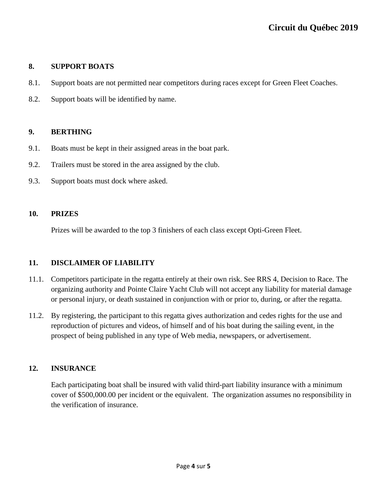# **8. SUPPORT BOATS**

- 8.1. Support boats are not permitted near competitors during races except for Green Fleet Coaches.
- 8.2. Support boats will be identified by name.

## **9. BERTHING**

- 9.1. Boats must be kept in their assigned areas in the boat park.
- 9.2. Trailers must be stored in the area assigned by the club.
- 9.3. Support boats must dock where asked.

## **10. PRIZES**

Prizes will be awarded to the top 3 finishers of each class except Opti-Green Fleet.

# **11. DISCLAIMER OF LIABILITY**

- 11.1. Competitors participate in the regatta entirely at their own risk. See RRS 4, Decision to Race. The organizing authority and Pointe Claire Yacht Club will not accept any liability for material damage or personal injury, or death sustained in conjunction with or prior to, during, or after the regatta.
- 11.2. By registering, the participant to this regatta gives authorization and cedes rights for the use and reproduction of pictures and videos, of himself and of his boat during the sailing event, in the prospect of being published in any type of Web media, newspapers, or advertisement.

# **12. INSURANCE**

Each participating boat shall be insured with valid third-part liability insurance with a minimum cover of \$500,000.00 per incident or the equivalent. The organization assumes no responsibility in the verification of insurance.